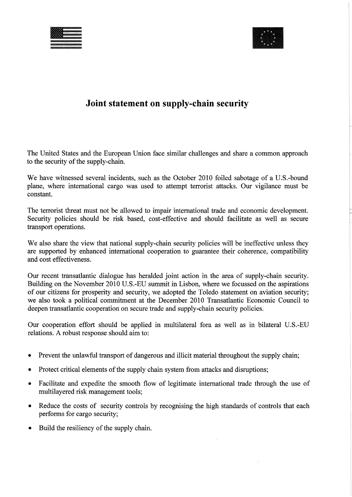



# **Joint statement on supply-chain security**

The United States and the European Union face similar challenges and share a common approach to the security of the supply-chain.

We have witnessed several incidents, such as the October 2010 foiled sabotage of a U.S.-bound plane, where international cargo was used to attempt terrorist attacks. Our vigilance must be constant.

The terrorist threat must not be allowed to impair international trade and economic development. Security policies should be risk based, cost-effective and should facilitate as well as secure transport operations.

We also share the view that national supply-chain security policies will be ineffective unless they are supported by enhanced international cooperation to guarantee their coherence, compatibility and cost effectiveness.

Our recent transatlantic dialogue has heralded joint action in the area of supply-chain security. Building on the November 2010 U.S.-EU summit in Lisbon, where we focussed on the aspirations of our citizens for prosperity and security, we adopted the Toledo statement on aviation security; we also took a political commitment at the December 2010 Transatlantic Economic Council to deepen transatlantic cooperation on secure trade and supply-chain security policies.

Our cooperation effort should be applied in multilateral fora as well as in bilateral U.S.-EU relations. A robust response should aim to:

- Prevent the unlawful transport of dangerous and illicit material throughout the supply chain;
- Protect critical elements of the supply chain system from attacks and disruptions;
- Facilitate and expedite the smooth flow of legitimate international trade through the use of multilayered risk management tools;
- Reduce the costs of security controls by recognising the high standards of controls that each performs for cargo security;
- Build the resiliency of the supply chain.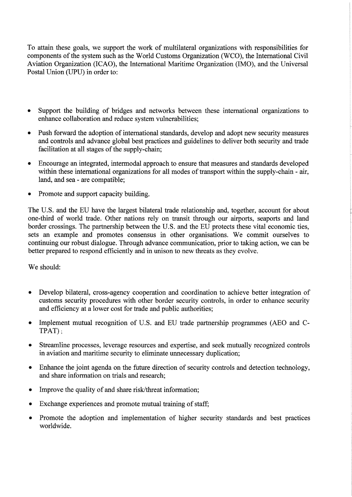To attain these goals, we support the work of multilateral organizations with responsibilities for components of the system such as the World Customs Organization (WCO), the International Civil Aviation Organization (ICAO), the International Maritime Organization (IMO), and the Universal Postal Union (UPU) in order to:

- Support the building of bridges and networks between these international organizations to enhance collaboration and reduce system vulnerabilities;
- Push forward the adoption of international standards, develop and adopt new security measures and controls and advance global best practices and guidelines to deliver both security and trade facilitation at all stages of the supply-chain;
- Encourage an integrated, intermodal approach to ensure that measures and standards developed within these international organizations for all modes of transport within the supply-chain - air, land, and sea - are compatible;
- Promote and support capacity building.

The U.S. and the EU have the largest bilateral trade relationship and, together, account for about one-third of world trade. Other nations rely on transit through our airports, seaports and land border crossings. The partnership between the U.S. and the EU protects these vital economic ties, sets an example and promotes consensus in other organisations. We commit ourselves to continuing our robust dialogue. Through advance communication, prior to taking action, we can be better prepared to respond efficiently and in unison to new threats as they evolve.

We should:

- Develop bilateral, cross-agency cooperation and coordination to achieve better integration of customs security procedures with other border security controls, in order to enhance security and efficiency at a lower cost for trade and public authorities;
- Implement mutual recognition of U.S. and EU trade partnership programmes (AEO and C-TPAT);
- Streamline processes, leverage resources and expertise, and seek mutually recognized controls in aviation and maritime security to eliminate unnecessary duplication;
- Enhance the joint agenda on the future direction of security controls and detection technology, and share information on trials and research;
- Improve the quality of and share risk/threat information;
- Exchange experiences and promote mutual training of staff;
- Promote the adoption and implementation of higher security standards and best practices worldwide.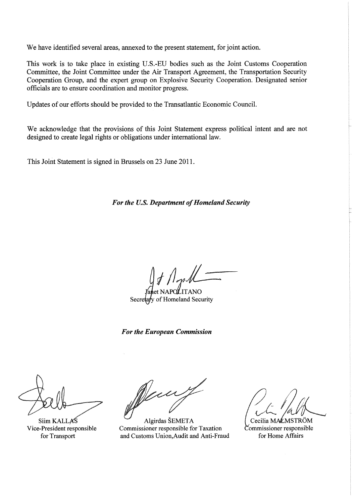We have identified several areas, annexed to the present statement, for joint action.

This work is to take place in existing U.S.-EU bodies such as the Joint Customs Cooperation Committee, the Joint Committee under the Air Transport Agreement, the Transportation Security Cooperation Group, and the expert group on Explosive Security Cooperation. Designated senior officials are to ensure coordination and monitor progress.

Updates of our efforts should be provided to the Transatlantic Economic Council.

We acknowledge that the provisions of this Joint Statement express political intent and are not designed to create legal rights or obligations under international law.

This Joint Statement is signed in Brussels on 23 June 2011.

For the U.S. Department of Homeland Security

 $f/\int_{\gamma}$ '<sub>ITANO</sub>  $i\ell$ 

Secretary of Homeland Security

*For the European Commission* 

Siim KALLAS

Algirdas SEMETA Vice-President responsible Commissioner responsible for Taxation Commissioner responsible for Transport and Customs Union,Audit and Anti-Fraud for Home Affairs

Cecilia MALMSTRÖM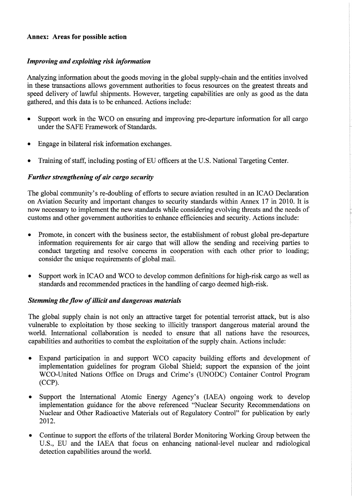#### **Annex: Areas for possible action**

#### *Improving and exploiting risk information*

Analyzing information about the goods moving in the global supply-chain and the entities involved in these transactions allows government authorities to focus resources on the greatest threats and speed delivery of lawful shipments. However, targeting capabilities are only as good as the data gathered, and this data is to be enhanced. Actions include:

- Support work in the WCO on ensuring and improving pre-departure information for all cargo under the SAFE Framework of Standards.
- Engage in bilateral risk information exchanges.
- Training of staff, including posting of EU officers at the U.S. National Targeting Center.

#### *Further strengthening of air cargo security*

The global community's re-doubling of efforts to secure aviation resulted in an ICAO Declaration on Aviation Security and important changes to security standards within Annex 17 in 2010. It is now necessary to implement the new standards while considering evolving threats and the needs of customs and other government authorities to enhance efficiencies and security. Actions include:

- Promote, in concert with the business sector, the establishment of robust global pre-departure information requirements for air cargo that will allow the sending and receiving parties to conduct targeting and resolve concerns in cooperation with each other prior to loading; consider the unique requirements of global mail.
- Support work in ICAO and WCO to develop common definitions for high-risk cargo as well as standards and recommended practices in the handling of cargo deemed high-risk.

#### **Stemming the flow of illicit and dangerous materials**

The global supply chain is not only an attractive target for potential terrorist attack, but is also vulnerable to exploitation by those seeking to illicitly transport dangerous material around the world. International collaboration is needed to ensure that all nations have the resources, capabilities and authorities to combat the exploitation of the supply chain. Actions include:

- Expand participation in and support WCO capacity building efforts and development of implementation guidelines for program Global Shield; support the expansion of the joint WCO-United Nations Office on Drugs and Crime's (UNODC) Container Control Program (CCP).
- Support the International Atomic Energy Agency's (IAEA) ongoing work to develop implementation guidance for the above referenced "Nuclear Security Recommendations on Nuclear and Other Radioactive Materials out of Regulatory Control" for publication by early 2012.
- Continue to support the efforts of the trilateral Border Monitoring Working Group between the U.S., EU and the IAEA that focus on enhancing national-level nuclear and radiological detection capabilities around the world.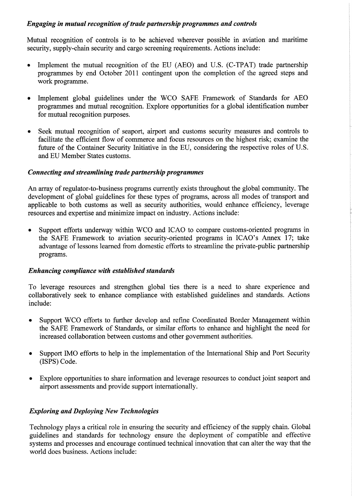## *Engaging in mutual recognition of trade partnership programmes and controls*

Mutual recognition of controls is to be achieved wherever possible in aviation and maritime security, supply-chain security and cargo screening requirements. Actions include:

- Implement the mutual recognition of the EU (AEO) and U.S. (C-TPAT) trade partnership programmes by end October 2011 contingent upon the completion of the agreed steps and work programme.
- Implement global guidelines under the WCO SAFE Framework of Standards for AEO programmes and mutual recognition. Explore opportunities for a global identification number for mutual recognition purposes.
- Seek mutual recognition of seaport, airport and customs security measures and controls to facilitate the efficient flow of commerce and focus resources on the highest risk; examine the future of the Container Security Initiative in the EU, considering the respective roles of U.S. and EU Member States customs.

## *Connecting and streamlining trade partnership programmes*

An array of regulator-to-business programs currently exists throughout the global community. The development of global guidelines for these types of programs, across all modes of transport and applicable to both customs as well as security authorities, would enhance efficiency, leverage resources and expertise and minimize impact on industry. Actions include:

• Support efforts underway within WCO and ICAO to compare customs-oriented programs in the SAFE Framework to aviation security-oriented programs in ICAO's Annex 17; take advantage of lessons learned from domestic efforts to streamline the private-public partnership programs.

## *Enhancing compliance with established standards*

To leverage resources and strengthen global ties there is a need to share experience and collaboratively seek to enhance compliance with established guidelines and standards. Actions include:

- Support WCO efforts to further develop and refine Coordinated Border Management within the SAFE Framework of Standards, or similar efforts to enhance and highlight the need for increased collaboration between customs and other government authorities.
- Support IMO efforts to help in the implementation of the International Ship and Port Security (ISPS) Code.
- Explore opportunities to share information and leverage resources to conduct joint seaport and airport assessments and provide support internationally.

## *Exploring and Deploying New Technologies*

Technology plays a critical role in ensuring the security and efficiency of the supply chain. Global guidelines and standards for technology ensure the deployment of compatible and effective systems and processes and encourage continued technical innovation that can alter the way that the world does business. Actions include: